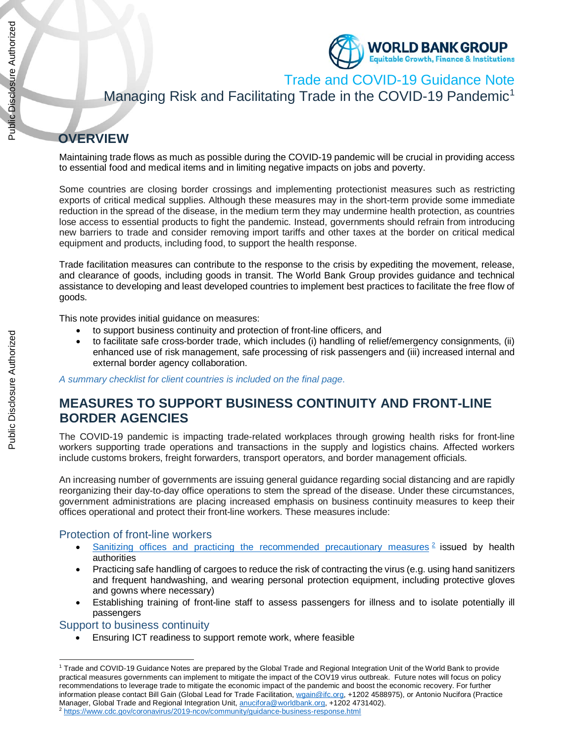

Trade and COVID-19 Guidance Note

Managing Risk and Facilitating Trade in the COVID-19 Pandemic<sup>1</sup>

# **OVERVIEW**

Maintaining trade flows as much as possible during the COVID-19 pandemic will be crucial in providing access to essential food and medical items and in limiting negative impacts on jobs and poverty.

Some countries are closing border crossings and implementing protectionist measures such as restricting exports of critical medical supplies. Although these measures may in the short-term provide some immediate reduction in the spread of the disease, in the medium term they may undermine health protection, as countries lose access to essential products to fight the pandemic. Instead, governments should refrain from introducing new barriers to trade and consider removing import tariffs and other taxes at the border on critical medical equipment and products, including food, to support the health response.

Trade facilitation measures can contribute to the response to the crisis by expediting the movement, release, and clearance of goods, including goods in transit. The World Bank Group provides guidance and technical assistance to developing and least developed countries to implement best practices to facilitate the free flow of goods.

This note provides initial guidance on measures:

- to support business continuity and protection of front-line officers, and
- to facilitate safe cross-border trade, which includes (i) handling of relief/emergency consignments, (ii) enhanced use of risk management, safe processing of risk passengers and (iii) increased internal and external border agency collaboration.

*A summary checklist for client countries is included on the final page*.

## **MEASURES TO SUPPORT BUSINESS CONTINUITY AND FRONT-LINE BORDER AGENCIES**

The COVID-19 pandemic is impacting trade-related workplaces through growing health risks for front-line workers supporting trade operations and transactions in the supply and logistics chains. Affected workers include customs brokers, freight forwarders, transport operators, and border management officials.

An increasing number of governments are issuing general guidance regarding social distancing and are rapidly reorganizing their day-to-day office operations to stem the spread of the disease. Under these circumstances, government administrations are placing increased emphasis on business continuity measures to keep their offices operational and protect their front-line workers. These measures include:

### Protection of front-line workers

- Sanitizing offices and practicing the recommended precautionary measures  $2$  issued by health authorities
- Practicing safe handling of cargoes to reduce the risk of contracting the virus (e.g. using hand sanitizers and frequent handwashing, and wearing personal protection equipment, including protective gloves and gowns where necessary)
- Establishing training of front-line staff to assess passengers for illness and to isolate potentially ill passengers

### Support to business continuity

 $\overline{a}$ 

• Ensuring ICT readiness to support remote work, where feasible

<sup>1</sup> Trade and COVID-19 Guidance Notes are prepared by the Global Trade and Regional Integration Unit of the World Bank to provide practical measures governments can implement to mitigate the impact of the COV19 virus outbreak. Future notes will focus on policy recommendations to leverage trade to mitigate the economic impact of the pandemic and boost the economic recovery. For further information please contact Bill Gain (Global Lead for Trade Facilitation, wgain@ifc.org, +1202 4588975), or Antonio Nucifora (Practice Manager, Global Trade and Regional Integration Unit, anucifora@worldbank.org, +1202 4731402). <sup>2</sup> https://www.cdc.gov/coronavirus/2019-ncov/community/guidance-business-response.html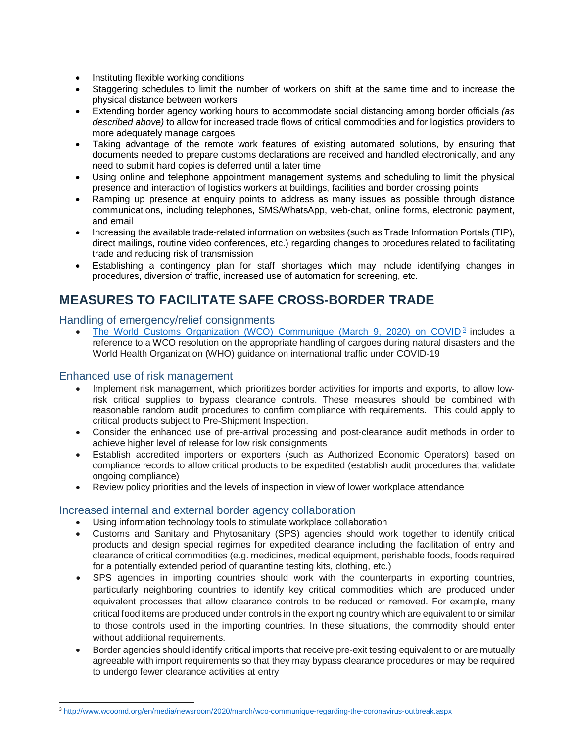- Instituting flexible working conditions
- Staggering schedules to limit the number of workers on shift at the same time and to increase the physical distance between workers
- Extending border agency working hours to accommodate social distancing among border officials *(as described above)* to allow for increased trade flows of critical commodities and for logistics providers to more adequately manage cargoes
- Taking advantage of the remote work features of existing automated solutions, by ensuring that documents needed to prepare customs declarations are received and handled electronically, and any need to submit hard copies is deferred until a later time
- Using online and telephone appointment management systems and scheduling to limit the physical presence and interaction of logistics workers at buildings, facilities and border crossing points
- Ramping up presence at enquiry points to address as many issues as possible through distance communications, including telephones, SMS/WhatsApp, web-chat, online forms, electronic payment, and email
- Increasing the available trade-related information on websites (such as Trade Information Portals (TIP), direct mailings, routine video conferences, etc.) regarding changes to procedures related to facilitating trade and reducing risk of transmission
- Establishing a contingency plan for staff shortages which may include identifying changes in procedures, diversion of traffic, increased use of automation for screening, etc.

## **MEASURES TO FACILITATE SAFE CROSS-BORDER TRADE**

### Handling of emergency/relief consignments

The World Customs Organization (WCO) Communique (March 9, 2020) on COVID<sup>3</sup> includes a reference to a WCO resolution on the appropriate handling of cargoes during natural disasters and the World Health Organization (WHO) guidance on international traffic under COVID-19

### Enhanced use of risk management

 $\overline{a}$ 

- Implement risk management, which prioritizes border activities for imports and exports, to allow lowrisk critical supplies to bypass clearance controls. These measures should be combined with reasonable random audit procedures to confirm compliance with requirements. This could apply to critical products subject to Pre-Shipment Inspection.
- Consider the enhanced use of pre-arrival processing and post-clearance audit methods in order to achieve higher level of release for low risk consignments
- Establish accredited importers or exporters (such as Authorized Economic Operators) based on compliance records to allow critical products to be expedited (establish audit procedures that validate ongoing compliance)
- Review policy priorities and the levels of inspection in view of lower workplace attendance

### Increased internal and external border agency collaboration

- Using information technology tools to stimulate workplace collaboration
- Customs and Sanitary and Phytosanitary (SPS) agencies should work together to identify critical products and design special regimes for expedited clearance including the facilitation of entry and clearance of critical commodities (e.g. medicines, medical equipment, perishable foods, foods required for a potentially extended period of quarantine testing kits, clothing, etc.)
- SPS agencies in importing countries should work with the counterparts in exporting countries, particularly neighboring countries to identify key critical commodities which are produced under equivalent processes that allow clearance controls to be reduced or removed. For example, many critical food items are produced under controls in the exporting country which are equivalent to or similar to those controls used in the importing countries. In these situations, the commodity should enter without additional requirements.
- Border agencies should identify critical imports that receive pre-exit testing equivalent to or are mutually agreeable with import requirements so that they may bypass clearance procedures or may be required to undergo fewer clearance activities at entry

<sup>3</sup> http://www.wcoomd.org/en/media/newsroom/2020/march/wco-communique-regarding-the-coronavirus-outbreak.aspx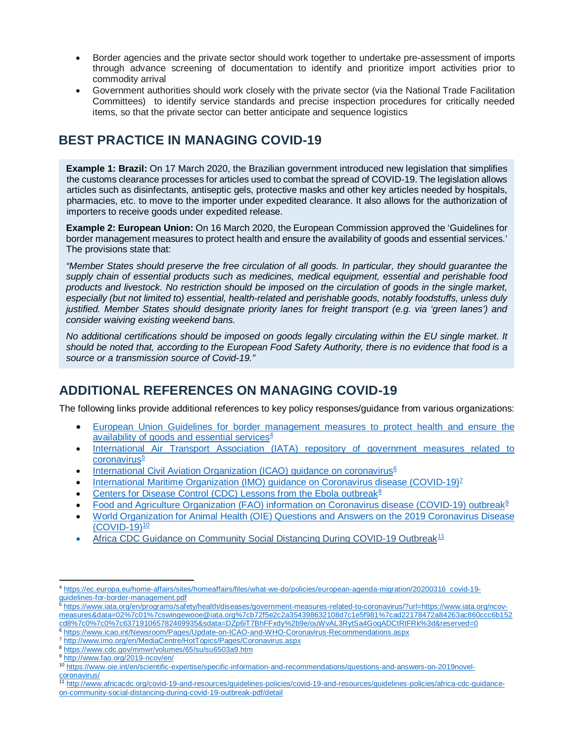- Border agencies and the private sector should work together to undertake pre-assessment of imports through advance screening of documentation to identify and prioritize import activities prior to commodity arrival
- Government authorities should work closely with the private sector (via the National Trade Facilitation Committees) to identify service standards and precise inspection procedures for critically needed items, so that the private sector can better anticipate and sequence logistics

## **BEST PRACTICE IN MANAGING COVID-19**

**Example 1: Brazil:** On 17 March 2020, the Brazilian government introduced new legislation that simplifies the customs clearance processes for articles used to combat the spread of COVID-19. The legislation allows articles such as disinfectants, antiseptic gels, protective masks and other key articles needed by hospitals, pharmacies, etc. to move to the importer under expedited clearance. It also allows for the authorization of importers to receive goods under expedited release.

**Example 2: European Union:** On 16 March 2020, the European Commission approved the 'Guidelines for border management measures to protect health and ensure the availability of goods and essential services.' The provisions state that:

*"Member States should preserve the free circulation of all goods. In particular, they should guarantee the supply chain of essential products such as medicines, medical equipment, essential and perishable food products and livestock. No restriction should be imposed on the circulation of goods in the single market, especially (but not limited to) essential, health-related and perishable goods, notably foodstuffs, unless duly justified. Member States should designate priority lanes for freight transport (e.g. via 'green lanes') and consider waiving existing weekend bans.*

*No additional certifications should be imposed on goods legally circulating within the EU single market. It should be noted that, according to the European Food Safety Authority, there is no evidence that food is a source or a transmission source of Covid-19."*

## **ADDITIONAL REFERENCES ON MANAGING COVID-19**

The following links provide additional references to key policy responses/guidance from various organizations:

- European Union Guidelines for border management measures to protect health and ensure the availability of goods and essential services $4$
- International Air Transport Association (IATA) repository of government measures related to coronavirus<sup>5</sup>
- International Civil Aviation Organization (ICAO) guidance on coronavirus<sup>6</sup>
- International Maritime Organization (IMO) guidance on Coronavirus disease (COVID-19)<sup>7</sup>
- Centers for Disease Control (CDC) Lessons from the Ebola outbreak<sup>8</sup>
- Food and Agriculture Organization (FAO) information on Coronavirus disease (COVID-19) outbreak9
- World Organization for Animal Health (OIE) Questions and Answers on the 2019 Coronavirus Disease (COVID-19)10
- Africa CDC Guidance on Community Social Distancing During COVID-19 Outbreak<sup>11</sup>

<sup>5</sup> https://www.iata.org/en/programs/safety/health/diseases/government-measures-related-to-coronavirus/?url=https://www.iata.org/ncovmeasures&data=02%7c01%7cswingewooe@iata.org%7cb72f5e2c2a354398632108d7c1e5f981%7cad22178472a84263ac860ccc6b152

- <sup>8</sup> https://www.cdc.gov/mmwr/volumes/65/su/su6503a9.htm
- <sup>9</sup> http://www.fao.org/2019-ncov/en/

 $\overline{a}$ <sup>4</sup> https://ec.europa.eu/home-affairs/sites/homeaffairs/files/what-we-do/policies/european-agenda-migration/20200316\_covid-19 guidelines-for-border-management.pdf

cd8%7c0%7c0%7c637191065782469935&sdata=DZp6iT7BhFFxdy%2b9e/ouWvAL3RytSa4GoqADCtRtFRk%3d&reserved=0

<sup>6</sup> https://www.icao.int/Newsroom/Pages/Update-on-ICAO-and-WHO-Coronavirus-Recommendations.aspx

<sup>7</sup> http://www.imo.org/en/MediaCentre/HotTopics/Pages/Coronavirus.aspx

<sup>10</sup> https://www.oie.int/en/scientific-expertise/specific-information-and-recommendations/questions-and-answers-on-2019novelcoronavirus/

<sup>11</sup> http://www.africacdc.org/covid-19-and-resources/guidelines-policies/covid-19-and-resources/guidelines-policies/africa-cdc-guidanceon-community-social-distancing-during-covid-19-outbreak-pdf/detail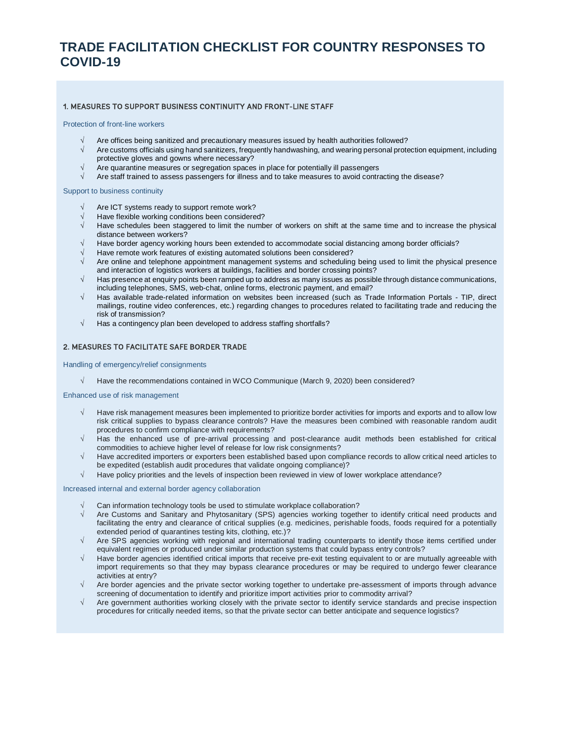## **TRADE FACILITATION CHECKLIST FOR COUNTRY RESPONSES TO COVID-19**

#### 1. MEASURES TO SUPPORT BUSINESS CONTINUITY AND FRONT-LINE STAFF

#### Protection of front-line workers

- Are offices being sanitized and precautionary measures issued by health authorities followed?
- √ Are customs officials using hand sanitizers, frequently handwashing, and wearing personal protection equipment, including protective gloves and gowns where necessary?
- √ Are quarantine measures or segregation spaces in place for potentially ill passengers
- √ Are staff trained to assess passengers for illness and to take measures to avoid contracting the disease?

#### Support to business continuity

- Are ICT systems ready to support remote work?
- √ Have flexible working conditions been considered?
- Have schedules been staggered to limit the number of workers on shift at the same time and to increase the physical distance between workers?
- Have border agency working hours been extended to accommodate social distancing among border officials?
- √ Have remote work features of existing automated solutions been considered?
- Are online and telephone appointment management systems and scheduling being used to limit the physical presence and interaction of logistics workers at buildings, facilities and border crossing points?
- √ Has presence at enquiry points been ramped up to address as many issues as possible through distance communications, including telephones, SMS, web-chat, online forms, electronic payment, and email?
- √ Has available trade-related information on websites been increased (such as Trade Information Portals TIP, direct mailings, routine video conferences, etc.) regarding changes to procedures related to facilitating trade and reducing the risk of transmission?
- $\sqrt{ }$  Has a contingency plan been developed to address staffing shortfalls?

#### 2. MEASURES TO FACILITATE SAFE BORDER TRADE

Handling of emergency/relief consignments

√ Have the recommendations contained in WCO Communique (March 9, 2020) been considered?

#### Enhanced use of risk management

- √ Have risk management measures been implemented to prioritize border activities for imports and exports and to allow low risk critical supplies to bypass clearance controls? Have the measures been combined with reasonable random audit procedures to confirm compliance with requirements?
- √ Has the enhanced use of pre-arrival processing and post-clearance audit methods been established for critical commodities to achieve higher level of release for low risk consignments?
- √ Have accredited importers or exporters been established based upon compliance records to allow critical need articles to be expedited (establish audit procedures that validate ongoing compliance)?
- √ Have policy priorities and the levels of inspection been reviewed in view of lower workplace attendance?

#### Increased internal and external border agency collaboration

- Can information technology tools be used to stimulate workplace collaboration?
- √ Are Customs and Sanitary and Phytosanitary (SPS) agencies working together to identify critical need products and facilitating the entry and clearance of critical supplies (e.g. medicines, perishable foods, foods required for a potentially extended period of quarantines testing kits, clothing, etc.)?
- √ Are SPS agencies working with regional and international trading counterparts to identify those items certified under equivalent regimes or produced under similar production systems that could bypass entry controls?
- Have border agencies identified critical imports that receive pre-exit testing equivalent to or are mutually agreeable with import requirements so that they may bypass clearance procedures or may be required to undergo fewer clearance activities at entry?
- √ Are border agencies and the private sector working together to undertake pre-assessment of imports through advance screening of documentation to identify and prioritize import activities prior to commodity arrival?
- √ Are government authorities working closely with the private sector to identify service standards and precise inspection procedures for critically needed items, so that the private sector can better anticipate and sequence logistics?